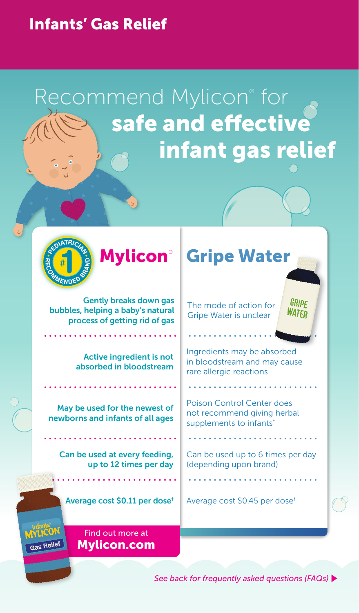### Infants' Gas Relief

## Recommend Mylicon® for **Alle Safe and effective** infant gas relief



Mylicon®

. . . . . . . . . . . . . . . . .

Gently breaks down gas bubbles, helping a baby's natural process of getting rid of gas

> Active ingredient is not absorbed in bloodstream

May be used for the newest of newborns and infants of all ages

Can be used at every feeding, up to 12 times per day

(depending upon brand)

Can be used up to 6 times per day

The mode of action for Gripe Water is unclear

Gripe Water

rare allergic reactions

Ingredients may be absorbed in bloodstream and may cause

GRIPE WATFR

Poison Control Center does not recommend giving herbal supplements to infants<sup>\*</sup>

Average cost \$0.11 per dose<sup>†</sup> Average cost \$0.45 per dose<sup>†</sup>

Find out more at Mylicon.com

**Gas Relief** 

*See back for frequently asked questions (FAQs)*